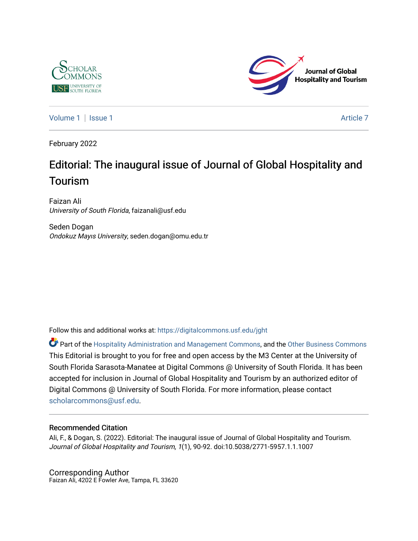



[Volume 1](https://digitalcommons.usf.edu/jght/vol1) | [Issue 1](https://digitalcommons.usf.edu/jght/vol1/iss1) Article 7

February 2022

### Editorial: The inaugural issue of Journal of Global Hospitality and Tourism

Faizan Ali University of South Florida, faizanali@usf.edu

Seden Dogan Ondokuz Mayıs University, seden.dogan@omu.edu.tr

Follow this and additional works at: [https://digitalcommons.usf.edu/jght](https://digitalcommons.usf.edu/jght?utm_source=digitalcommons.usf.edu%2Fjght%2Fvol1%2Fiss1%2F7&utm_medium=PDF&utm_campaign=PDFCoverPages) 

Part of the [Hospitality Administration and Management Commons,](http://network.bepress.com/hgg/discipline/632?utm_source=digitalcommons.usf.edu%2Fjght%2Fvol1%2Fiss1%2F7&utm_medium=PDF&utm_campaign=PDFCoverPages) and the [Other Business Commons](http://network.bepress.com/hgg/discipline/647?utm_source=digitalcommons.usf.edu%2Fjght%2Fvol1%2Fiss1%2F7&utm_medium=PDF&utm_campaign=PDFCoverPages) This Editorial is brought to you for free and open access by the M3 Center at the University of South Florida Sarasota-Manatee at Digital Commons @ University of South Florida. It has been accepted for inclusion in Journal of Global Hospitality and Tourism by an authorized editor of Digital Commons @ University of South Florida. For more information, please contact [scholarcommons@usf.edu.](mailto:scholarcommons@usf.edu)

#### Recommended Citation

Ali, F., & Dogan, S. (2022). Editorial: The inaugural issue of Journal of Global Hospitality and Tourism. Journal of Global Hospitality and Tourism, 1(1), 90-92. doi:10.5038/2771-5957.1.1.1007

Corresponding Author Faizan Ali, 4202 E Fowler Ave, Tampa, FL 33620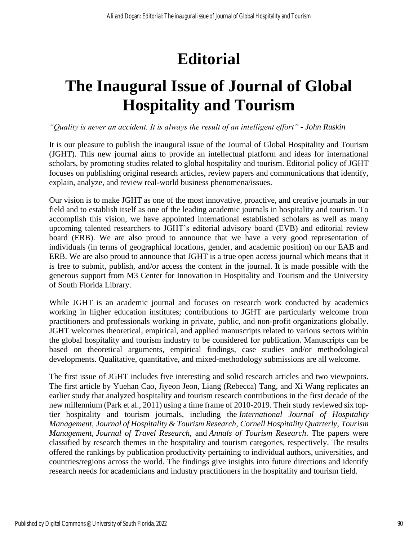# **Editorial**

## **The Inaugural Issue of Journal of Global Hospitality and Tourism**

*"Quality is never an accident. It is always the result of an intelligent effort" - John Ruskin*

It is our pleasure to publish the inaugural issue of the Journal of Global Hospitality and Tourism (JGHT). This new journal aims to provide an intellectual platform and ideas for international scholars, by promoting studies related to global hospitality and tourism. Editorial policy of JGHT focuses on publishing original research articles, review papers and communications that identify, explain, analyze, and review real-world business phenomena/issues.

Our vision is to make JGHT as one of the most innovative, proactive, and creative journals in our field and to establish itself as one of the leading academic journals in hospitality and tourism. To accomplish this vision, we have appointed international established scholars as well as many upcoming talented researchers to JGHT's editorial advisory board (EVB) and editorial review board (ERB). We are also proud to announce that we have a very good representation of individuals (in terms of geographical locations, gender, and academic position) on our EAB and ERB. We are also proud to announce that JGHT is a true open access journal which means that it is free to submit, publish, and/or access the content in the journal. It is made possible with the generous support from M3 Center for Innovation in Hospitality and Tourism and the University of South Florida Library.

While JGHT is an academic journal and focuses on research work conducted by academics working in higher education institutes; contributions to JGHT are particularly welcome from practitioners and professionals working in private, public, and non-profit organizations globally. JGHT welcomes theoretical, empirical, and applied manuscripts related to various sectors within the global hospitality and tourism industry to be considered for publication. Manuscripts can be based on theoretical arguments, empirical findings, case studies and/or methodological developments. Qualitative, quantitative, and mixed-methodology submissions are all welcome.

The first issue of JGHT includes five interesting and solid research articles and two viewpoints. The first article by Yuehan Cao, Jiyeon Jeon, Liang (Rebecca) Tang, and Xi Wang replicates an earlier study that analyzed hospitality and tourism research contributions in the first decade of the new millennium (Park et al., 2011) using a time frame of 2010-2019. Their study reviewed six toptier hospitality and tourism journals, including the *International Journal of Hospitality Management*, *Journal of Hospitality & Tourism Research*, *Cornell Hospitality Quarterly*, *Tourism Management*, *Journal of Travel Research*, and *Annals of Tourism Research*. The papers were classified by research themes in the hospitality and tourism categories, respectively. The results offered the rankings by publication productivity pertaining to individual authors, universities, and countries/regions across the world. The findings give insights into future directions and identify research needs for academicians and industry practitioners in the hospitality and tourism field.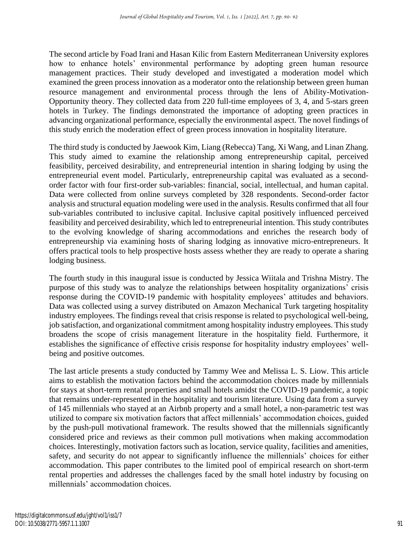The second article by Foad Irani and Hasan Kilic from Eastern Mediterranean University explores how to enhance hotels' environmental performance by adopting green human resource management practices. Their study developed and investigated a moderation model which examined the green process innovation as a moderator onto the relationship between green human resource management and environmental process through the lens of Ability-Motivation-Opportunity theory. They collected data from 220 full-time employees of 3, 4, and 5-stars green hotels in Turkey. The findings demonstrated the importance of adopting green practices in advancing organizational performance, especially the environmental aspect. The novel findings of this study enrich the moderation effect of green process innovation in hospitality literature.

The third study is conducted by Jaewook Kim, Liang (Rebecca) Tang, Xi Wang, and Linan Zhang. This study aimed to examine the relationship among entrepreneurship capital, perceived feasibility, perceived desirability, and entrepreneurial intention in sharing lodging by using the entrepreneurial event model. Particularly, entrepreneurship capital was evaluated as a secondorder factor with four first-order sub-variables: financial, social, intellectual, and human capital. Data were collected from online surveys completed by 328 respondents. Second-order factor analysis and structural equation modeling were used in the analysis. Results confirmed that all four sub-variables contributed to inclusive capital. Inclusive capital positively influenced perceived feasibility and perceived desirability, which led to entrepreneurial intention. This study contributes to the evolving knowledge of sharing accommodations and enriches the research body of entrepreneurship via examining hosts of sharing lodging as innovative micro-entrepreneurs. It offers practical tools to help prospective hosts assess whether they are ready to operate a sharing lodging business.

The fourth study in this inaugural issue is conducted by Jessica Wiitala and Trishna Mistry. The purpose of this study was to analyze the relationships between hospitality organizations' crisis response during the COVID-19 pandemic with hospitality employees' attitudes and behaviors. Data was collected using a survey distributed on Amazon Mechanical Turk targeting hospitality industry employees. The findings reveal that crisis response is related to psychological well-being, job satisfaction, and organizational commitment among hospitality industry employees. This study broadens the scope of crisis management literature in the hospitality field. Furthermore, it establishes the significance of effective crisis response for hospitality industry employees' wellbeing and positive outcomes.

The last article presents a study conducted by Tammy Wee and Melissa L. S. Liow. This article aims to establish the motivation factors behind the accommodation choices made by millennials for stays at short-term rental properties and small hotels amidst the COVID-19 pandemic, a topic that remains under-represented in the hospitality and tourism literature. Using data from a survey of 145 millennials who stayed at an Airbnb property and a small hotel, a non-parametric test was utilized to compare six motivation factors that affect millennials' accommodation choices, guided by the push-pull motivational framework. The results showed that the millennials significantly considered price and reviews as their common pull motivations when making accommodation choices. Interestingly, motivation factors such as location, service quality, facilities and amenities, safety, and security do not appear to significantly influence the millennials' choices for either accommodation. This paper contributes to the limited pool of empirical research on short-term rental properties and addresses the challenges faced by the small hotel industry by focusing on millennials' accommodation choices.